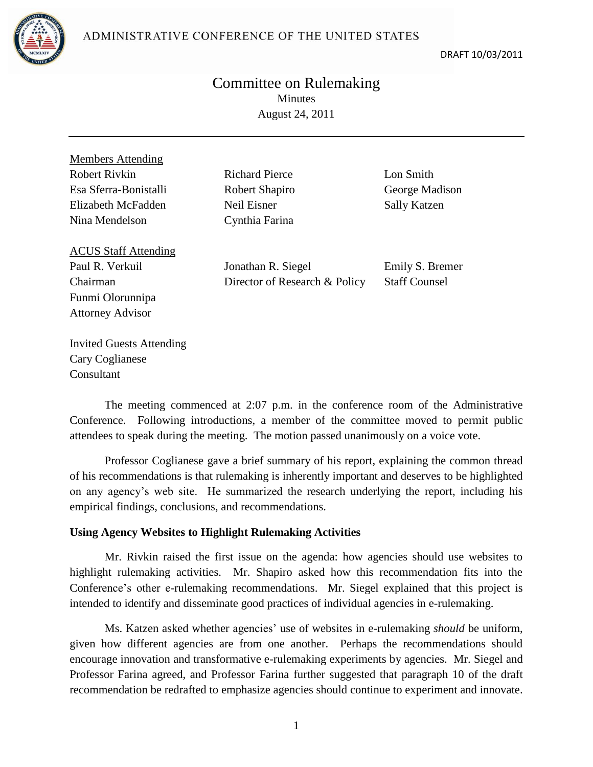ADMINISTRATIVE CONFERENCE OF THE UNITED STATES



DRAFT 10/03/2011

## Committee on Rulemaking Minutes August 24, 2011

Members Attending Robert Rivkin Richard Pierce **Lon Smith** Esa Sferra-Bonistalli Robert Shapiro George Madison Elizabeth McFadden Neil Eisner Sally Katzen Nina Mendelson Cynthia Farina

ACUS Staff Attending Paul R. Verkuil Chairman Funmi Olorunnipa Attorney Advisor

Jonathan R. Siegel Director of Research & Policy Emily S. Bremer Staff Counsel

Invited Guests Attending Cary Coglianese **Consultant** 

The meeting commenced at 2:07 p.m. in the conference room of the Administrative Conference. Following introductions, a member of the committee moved to permit public attendees to speak during the meeting. The motion passed unanimously on a voice vote.

Professor Coglianese gave a brief summary of his report, explaining the common thread of his recommendations is that rulemaking is inherently important and deserves to be highlighted on any agency's web site. He summarized the research underlying the report, including his empirical findings, conclusions, and recommendations.

## **Using Agency Websites to Highlight Rulemaking Activities**

Mr. Rivkin raised the first issue on the agenda: how agencies should use websites to highlight rulemaking activities. Mr. Shapiro asked how this recommendation fits into the Conference's other e-rulemaking recommendations. Mr. Siegel explained that this project is intended to identify and disseminate good practices of individual agencies in e-rulemaking.

Ms. Katzen asked whether agencies' use of websites in e-rulemaking *should* be uniform, given how different agencies are from one another. Perhaps the recommendations should encourage innovation and transformative e-rulemaking experiments by agencies. Mr. Siegel and Professor Farina agreed, and Professor Farina further suggested that paragraph 10 of the draft recommendation be redrafted to emphasize agencies should continue to experiment and innovate.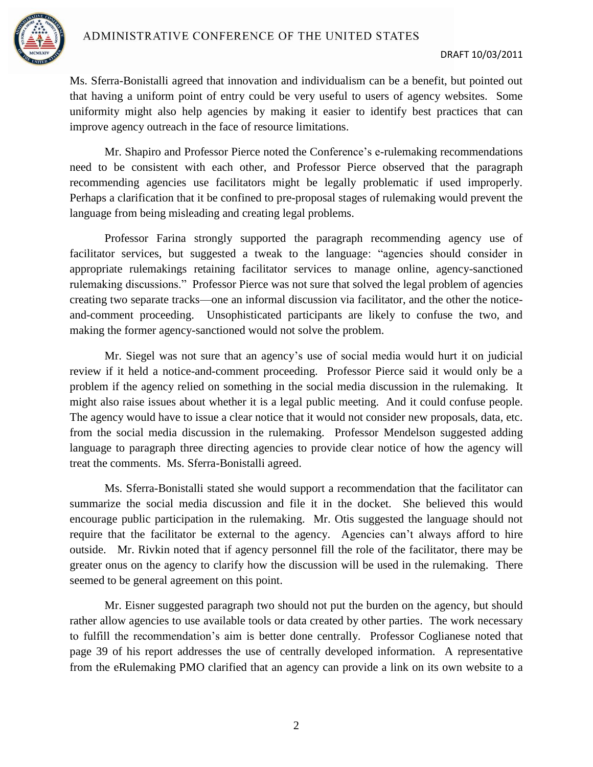

Ms. Sferra-Bonistalli agreed that innovation and individualism can be a benefit, but pointed out that having a uniform point of entry could be very useful to users of agency websites. Some uniformity might also help agencies by making it easier to identify best practices that can improve agency outreach in the face of resource limitations.

Mr. Shapiro and Professor Pierce noted the Conference's e-rulemaking recommendations need to be consistent with each other, and Professor Pierce observed that the paragraph recommending agencies use facilitators might be legally problematic if used improperly. Perhaps a clarification that it be confined to pre-proposal stages of rulemaking would prevent the language from being misleading and creating legal problems.

Professor Farina strongly supported the paragraph recommending agency use of facilitator services, but suggested a tweak to the language: "agencies should consider in appropriate rulemakings retaining facilitator services to manage online, agency-sanctioned rulemaking discussions." Professor Pierce was not sure that solved the legal problem of agencies creating two separate tracks—one an informal discussion via facilitator, and the other the noticeand-comment proceeding. Unsophisticated participants are likely to confuse the two, and making the former agency-sanctioned would not solve the problem.

Mr. Siegel was not sure that an agency's use of social media would hurt it on judicial review if it held a notice-and-comment proceeding. Professor Pierce said it would only be a problem if the agency relied on something in the social media discussion in the rulemaking. It might also raise issues about whether it is a legal public meeting. And it could confuse people. The agency would have to issue a clear notice that it would not consider new proposals, data, etc. from the social media discussion in the rulemaking. Professor Mendelson suggested adding language to paragraph three directing agencies to provide clear notice of how the agency will treat the comments. Ms. Sferra-Bonistalli agreed.

Ms. Sferra-Bonistalli stated she would support a recommendation that the facilitator can summarize the social media discussion and file it in the docket. She believed this would encourage public participation in the rulemaking. Mr. Otis suggested the language should not require that the facilitator be external to the agency. Agencies can't always afford to hire outside. Mr. Rivkin noted that if agency personnel fill the role of the facilitator, there may be greater onus on the agency to clarify how the discussion will be used in the rulemaking. There seemed to be general agreement on this point.

Mr. Eisner suggested paragraph two should not put the burden on the agency, but should rather allow agencies to use available tools or data created by other parties. The work necessary to fulfill the recommendation's aim is better done centrally. Professor Coglianese noted that page 39 of his report addresses the use of centrally developed information. A representative from the eRulemaking PMO clarified that an agency can provide a link on its own website to a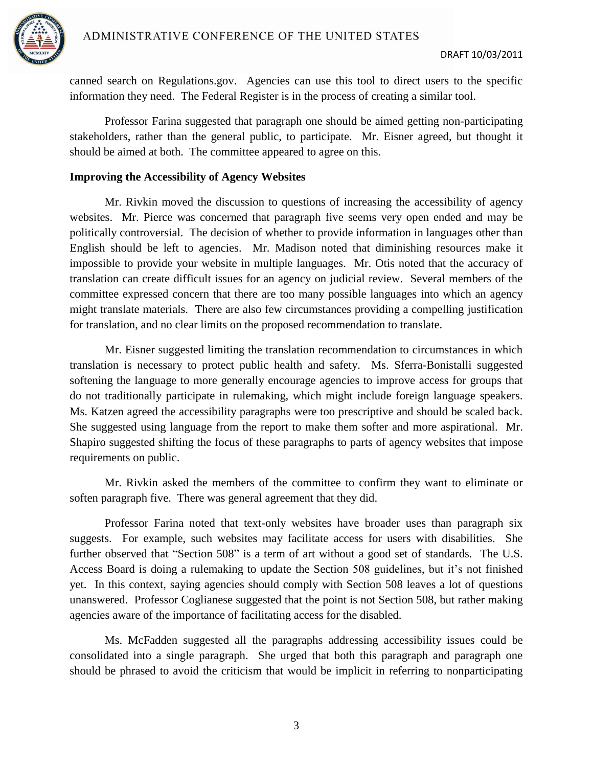

canned search on Regulations.gov. Agencies can use this tool to direct users to the specific information they need. The Federal Register is in the process of creating a similar tool.

Professor Farina suggested that paragraph one should be aimed getting non-participating stakeholders, rather than the general public, to participate. Mr. Eisner agreed, but thought it should be aimed at both. The committee appeared to agree on this.

## **Improving the Accessibility of Agency Websites**

Mr. Rivkin moved the discussion to questions of increasing the accessibility of agency websites. Mr. Pierce was concerned that paragraph five seems very open ended and may be politically controversial. The decision of whether to provide information in languages other than English should be left to agencies. Mr. Madison noted that diminishing resources make it impossible to provide your website in multiple languages. Mr. Otis noted that the accuracy of translation can create difficult issues for an agency on judicial review. Several members of the committee expressed concern that there are too many possible languages into which an agency might translate materials. There are also few circumstances providing a compelling justification for translation, and no clear limits on the proposed recommendation to translate.

Mr. Eisner suggested limiting the translation recommendation to circumstances in which translation is necessary to protect public health and safety. Ms. Sferra-Bonistalli suggested softening the language to more generally encourage agencies to improve access for groups that do not traditionally participate in rulemaking, which might include foreign language speakers. Ms. Katzen agreed the accessibility paragraphs were too prescriptive and should be scaled back. She suggested using language from the report to make them softer and more aspirational. Mr. Shapiro suggested shifting the focus of these paragraphs to parts of agency websites that impose requirements on public.

Mr. Rivkin asked the members of the committee to confirm they want to eliminate or soften paragraph five. There was general agreement that they did.

Professor Farina noted that text-only websites have broader uses than paragraph six suggests. For example, such websites may facilitate access for users with disabilities. She further observed that "Section 508" is a term of art without a good set of standards. The U.S. Access Board is doing a rulemaking to update the Section 508 guidelines, but it's not finished yet. In this context, saying agencies should comply with Section 508 leaves a lot of questions unanswered. Professor Coglianese suggested that the point is not Section 508, but rather making agencies aware of the importance of facilitating access for the disabled.

Ms. McFadden suggested all the paragraphs addressing accessibility issues could be consolidated into a single paragraph. She urged that both this paragraph and paragraph one should be phrased to avoid the criticism that would be implicit in referring to nonparticipating